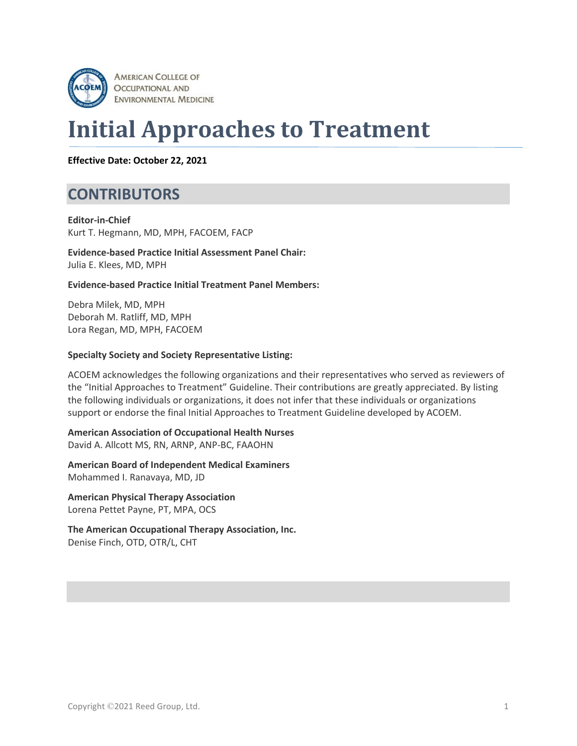

# **Initial Approaches to Treatment**

**Effective Date: October 22, 2021**

### **CONTRIBUTORS**

**Editor-in-Chief** Kurt T. Hegmann, MD, MPH, FACOEM, FACP

**Evidence-based Practice Initial Assessment Panel Chair:** Julia E. Klees, MD, MPH

#### **Evidence-based Practice Initial Treatment Panel Members:**

Debra Milek, MD, MPH Deborah M. Ratliff, MD, MPH Lora Regan, MD, MPH, FACOEM

#### **Specialty Society and Society Representative Listing:**

ACOEM acknowledges the following organizations and their representatives who served as reviewers of the "Initial Approaches to Treatment" Guideline. Their contributions are greatly appreciated. By listing the following individuals or organizations, it does not infer that these individuals or organizations support or endorse the final Initial Approaches to Treatment Guideline developed by ACOEM.

**American Association of Occupational Health Nurses** David A. Allcott MS, RN, ARNP, ANP-BC, FAAOHN

**American Board of Independent Medical Examiners** Mohammed I. Ranavaya, MD, JD

**American Physical Therapy Association** Lorena Pettet Payne, PT, MPA, OCS

**The American Occupational Therapy Association, Inc.** Denise Finch, OTD, OTR/L, CHT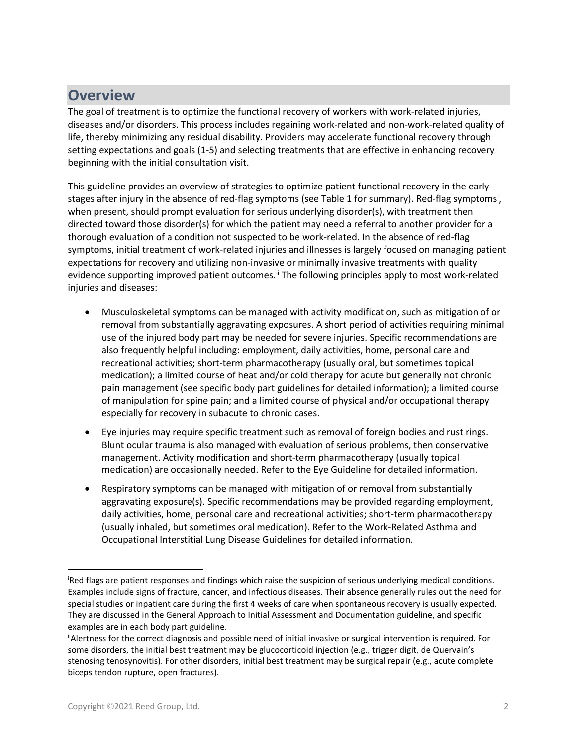### **Overview**

The goal of treatment is to optimize the functional recovery of workers with work-related injuries, diseases and/or disorders. This process includes regaining work-related and non-work-related quality of life, thereby minimizing any residual disability. Providers may accelerate functional recovery through setting expectations and goals (1-5) and selecting treatments that are effective in enhancing recovery beginning with the initial consultation visit.

This guideline provides an overview of strategies to optimize patient functional recovery in the early stages after [i](#page-1-0)njury in the absence of red-flag symptoms (see Table 1 for summary). Red-flag symptoms<sup>i</sup>, when present, should prompt evaluation for serious underlying disorder(s), with treatment then directed toward those disorder(s) for which the patient may need a referral to another provider for a thorough evaluation of a condition not suspected to be work-related. In the absence of red-flag symptoms, initial treatment of work-related injuries and illnesses is largely focused on managing patient expectations for recovery and utilizing non-invasive or minimally invasive treatments with quality evidence supporting improved patient outcomes.<sup>[ii](#page-1-1)</sup> The following principles apply to most work-related injuries and diseases:

- Musculoskeletal symptoms can be managed with activity modification, such as mitigation of or removal from substantially aggravating exposures. A short period of activities requiring minimal use of the injured body part may be needed for severe injuries. Specific recommendations are also frequently helpful including: employment, daily activities, home, personal care and recreational activities; short-term pharmacotherapy (usually oral, but sometimes topical medication); a limited course of heat and/or cold therapy for acute but generally not chronic pain management (see specific body part guidelines for detailed information); a limited course of manipulation for spine pain; and a limited course of physical and/or occupational therapy especially for recovery in subacute to chronic cases.
- Eye injuries may require specific treatment such as removal of foreign bodies and rust rings. Blunt ocular trauma is also managed with evaluation of serious problems, then conservative management. Activity modification and short-term pharmacotherapy (usually topical medication) are occasionally needed. Refer to the Eye Guideline for detailed information.
- Respiratory symptoms can be managed with mitigation of or removal from substantially aggravating exposure(s). Specific recommendations may be provided regarding employment, daily activities, home, personal care and recreational activities; short-term pharmacotherapy (usually inhaled, but sometimes oral medication). Refer to the Work-Related Asthma and Occupational Interstitial Lung Disease Guidelines for detailed information.

<span id="page-1-0"></span>Red flags are patient responses and findings which raise the suspicion of serious underlying medical conditions. Examples include signs of fracture, cancer, and infectious diseases. Their absence generally rules out the need for special studies or inpatient care during the first 4 weeks of care when spontaneous recovery is usually expected. They are discussed in the General Approach to Initial Assessment and Documentation guideline, and specific examples are in each body part guideline.

<span id="page-1-1"></span>iiAlertness for the correct diagnosis and possible need of initial invasive or surgical intervention is required. For some disorders, the initial best treatment may be glucocorticoid injection (e.g., trigger digit, de Quervain's stenosing tenosynovitis). For other disorders, initial best treatment may be surgical repair (e.g., acute complete biceps tendon rupture, open fractures).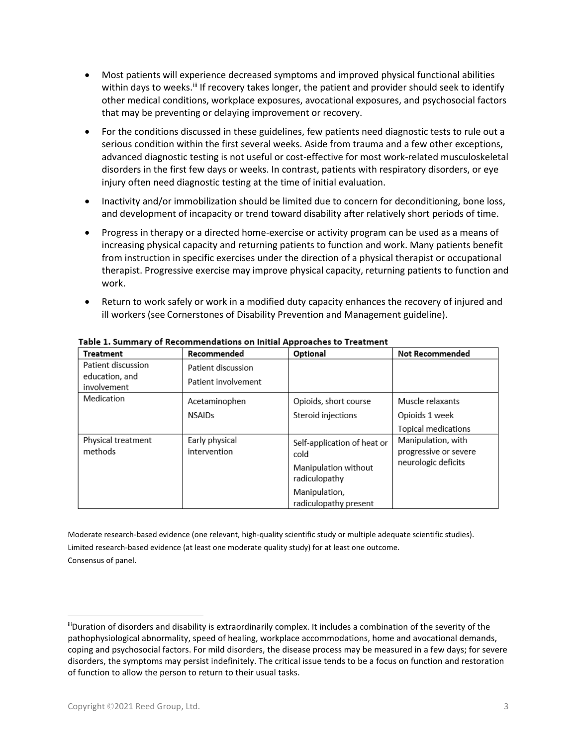- Most patients will experience decreased symptoms and improved physical functional abilities within days to weeks.<sup>[iii](#page-2-0)</sup> If recovery takes longer, the patient and provider should seek to identify other medical conditions, workplace exposures, avocational exposures, and psychosocial factors that may be preventing or delaying improvement or recovery.
- For the conditions discussed in these guidelines, few patients need diagnostic tests to rule out a serious condition within the first several weeks. Aside from trauma and a few other exceptions, advanced diagnostic testing is not useful or cost-effective for most work-related musculoskeletal disorders in the first few days or weeks. In contrast, patients with respiratory disorders, or eye injury often need diagnostic testing at the time of initial evaluation.
- Inactivity and/or immobilization should be limited due to concern for deconditioning, bone loss, and development of incapacity or trend toward disability after relatively short periods of time.
- Progress in therapy or a directed home-exercise or activity program can be used as a means of increasing physical capacity and returning patients to function and work. Many patients benefit from instruction in specific exercises under the direction of a physical therapist or occupational therapist. Progressive exercise may improve physical capacity, returning patients to function and work.
- Return to work safely or work in a modified duty capacity enhances the recovery of injured and ill workers (see Cornerstones of Disability Prevention and Management guideline).

| <b>Treatment</b>                                    | Recommended                               | Optional                               | <b>Not Recommended</b>                      |
|-----------------------------------------------------|-------------------------------------------|----------------------------------------|---------------------------------------------|
| Patient discussion<br>education, and<br>involvement | Patient discussion<br>Patient involvement |                                        |                                             |
| Medication                                          | Acetaminophen                             | Opioids, short course                  | Muscle relaxants                            |
|                                                     | <b>NSAIDs</b>                             | Steroid injections                     | Opioids 1 week                              |
|                                                     |                                           |                                        | <b>Topical medications</b>                  |
| Physical treatment<br>methods                       | Early physical<br>intervention            | Self-application of heat or<br>cold    | Manipulation, with<br>progressive or severe |
|                                                     |                                           | Manipulation without<br>radiculopathy  | neurologic deficits                         |
|                                                     |                                           | Manipulation,<br>radiculopathy present |                                             |

Table 1. Summary of Recommendations on Initial Approaches to Treatment

Moderate research-based evidence (one relevant, high-quality scientific study or multiple adequate scientific studies). Limited research-based evidence (at least one moderate quality study) for at least one outcome. Consensus of panel.

<span id="page-2-0"></span>iiiDuration of disorders and disability is extraordinarily complex. It includes a combination of the severity of the pathophysiological abnormality, speed of healing, workplace accommodations, home and avocational demands, coping and psychosocial factors. For mild disorders, the disease process may be measured in a few days; for severe disorders, the symptoms may persist indefinitely. The critical issue tends to be a focus on function and restoration of function to allow the person to return to their usual tasks.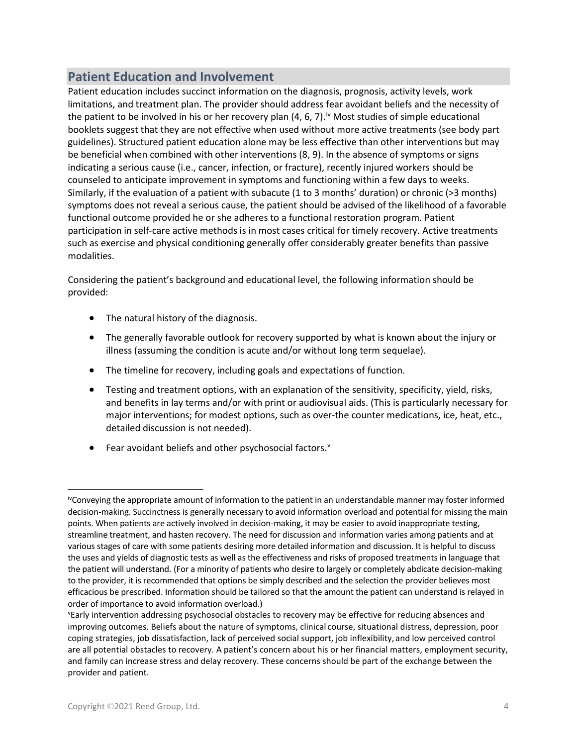### **Patient Education and Involvement**

Patient education includes succinct information on the diagnosis, prognosis, activity levels, work limitations, and treatment plan. The provider should address fear avoidant beliefs and the necessity of the patient to be involved in his or her recovery plan (4, 6, 7).<sup>[iv](#page-3-0)</sup> Most studies of simple educational booklets suggest that they are not effective when used without more active treatments (see body part guidelines). Structured patient education alone may be less effective than other interventions but may be beneficial when combined with other interventions (8, 9). In the absence of symptoms or signs indicating a serious cause (i.e., cancer, infection, or fracture), recently injured workers should be counseled to anticipate improvement in symptoms and functioning within a few days to weeks. Similarly, if the evaluation of a patient with subacute (1 to 3 months' duration) or chronic (>3 months) symptoms does not reveal a serious cause, the patient should be advised of the likelihood of a favorable functional outcome provided he or she adheres to a functional restoration program. Patient participation in self-care active methods is in most cases critical for timely recovery. Active treatments such as exercise and physical conditioning generally offer considerably greater benefits than passive modalities.

Considering the patient's background and educational level, the following information should be provided:

- The natural history of the diagnosis.
- The generally favorable outlook for recovery supported by what is known about the injury or illness (assuming the condition is acute and/or without long term sequelae).
- The timeline for recovery, including goals and expectations of function.
- Testing and treatment options, with an explanation of the sensitivity, specificity, yield, risks, and benefits in lay terms and/or with print or audiovisual aids. (This is particularly necessary for major interventions; for modest options, such as over-the counter medications, ice, heat, etc., detailed discussion is not needed).
- Fear a[v](#page-3-1)oidant beliefs and other psychosocial factors. $v$

<span id="page-3-0"></span>ivConveying the appropriate amount of information to the patient in an understandable manner may foster informed decision-making. Succinctness is generally necessary to avoid information overload and potential for missing the main points. When patients are actively involved in decision-making, it may be easier to avoid inappropriate testing, streamline treatment, and hasten recovery. The need for discussion and information varies among patients and at various stages of care with some patients desiring more detailed information and discussion. It is helpful to discuss the uses and yields of diagnostic tests as well as the effectiveness and risks of proposed treatments in language that the patient will understand. (For a minority of patients who desire to largely or completely abdicate decision-making to the provider, it is recommended that options be simply described and the selection the provider believes most efficacious be prescribed. Information should be tailored so that the amount the patient can understand is relayed in order of importance to avoid information overload.)

<span id="page-3-1"></span>v Early intervention addressing psychosocial obstacles to recovery may be effective for reducing absences and improving outcomes. Beliefs about the nature of symptoms, clinical course, situational distress, depression, poor coping strategies, job dissatisfaction, lack of perceived social support, job inflexibility, and low perceived control are all potential obstacles to recovery. A patient's concern about his or her financial matters, employment security, and family can increase stress and delay recovery. These concerns should be part of the exchange between the provider and patient.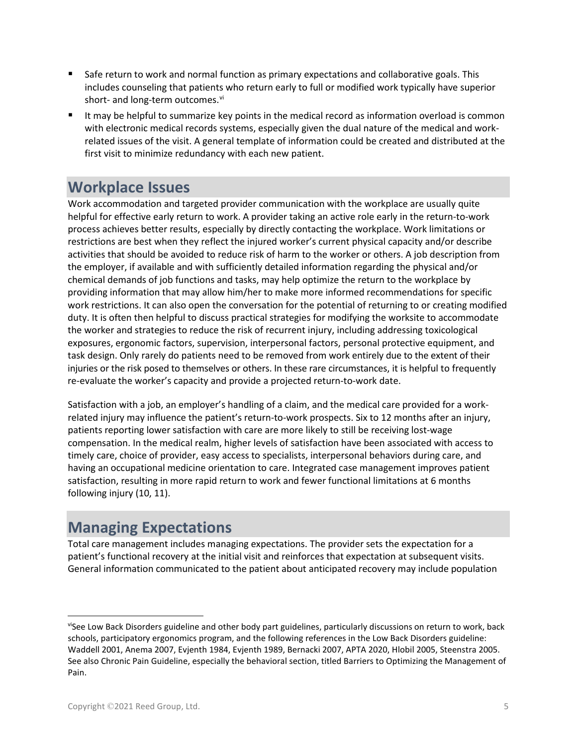- **Safe return to work and normal function as primary expectations and collaborative goals. This** includes counseling that patients who return early to full or modified work typically have superior short- and long-term outcomes.<sup>[vi](#page-4-0)</sup>
- It may be helpful to summarize key points in the medical record as information overload is common with electronic medical records systems, especially given the dual nature of the medical and workrelated issues of the visit. A general template of information could be created and distributed at the first visit to minimize redundancy with each new patient.

### **Workplace Issues**

Work accommodation and targeted provider communication with the workplace are usually quite helpful for effective early return to work. A provider taking an active role early in the return-to-work process achieves better results, especially by directly contacting the workplace. Work limitations or restrictions are best when they reflect the injured worker's current physical capacity and/or describe activities that should be avoided to reduce risk of harm to the worker or others. A job description from the employer, if available and with sufficiently detailed information regarding the physical and/or chemical demands of job functions and tasks, may help optimize the return to the workplace by providing information that may allow him/her to make more informed recommendations for specific work restrictions. It can also open the conversation for the potential of returning to or creating modified duty. It is often then helpful to discuss practical strategies for modifying the worksite to accommodate the worker and strategies to reduce the risk of recurrent injury, including addressing toxicological exposures, ergonomic factors, supervision, interpersonal factors, personal protective equipment, and task design. Only rarely do patients need to be removed from work entirely due to the extent of their injuries or the risk posed to themselves or others. In these rare circumstances, it is helpful to frequently re-evaluate the worker's capacity and provide a projected return-to-work date.

Satisfaction with a job, an employer's handling of a claim, and the medical care provided for a workrelated injury may influence the patient's return-to-work prospects. Six to 12 months after an injury, patients reporting lower satisfaction with care are more likely to still be receiving lost-wage compensation. In the medical realm, higher levels of satisfaction have been associated with access to timely care, choice of provider, easy access to specialists, interpersonal behaviors during care, and having an occupational medicine orientation to care. Integrated case management improves patient satisfaction, resulting in more rapid return to work and fewer functional limitations at 6 months following injury (10, 11).

# **Managing Expectations**

Total care management includes managing expectations. The provider sets the expectation for a patient's functional recovery at the initial visit and reinforces that expectation at subsequent visits. General information communicated to the patient about anticipated recovery may include population

<span id="page-4-0"></span>viSee Low Back Disorders guideline and other body part guidelines, particularly discussions on return to work, back schools, participatory ergonomics program, and the following references in the Low Back Disorders guideline: Waddell 2001, Anema 2007, Evjenth 1984, Evjenth 1989, Bernacki 2007, APTA 2020, Hlobil 2005, Steenstra 2005. See also Chronic Pain Guideline, especially the behavioral section, titled Barriers to Optimizing the Management of Pain.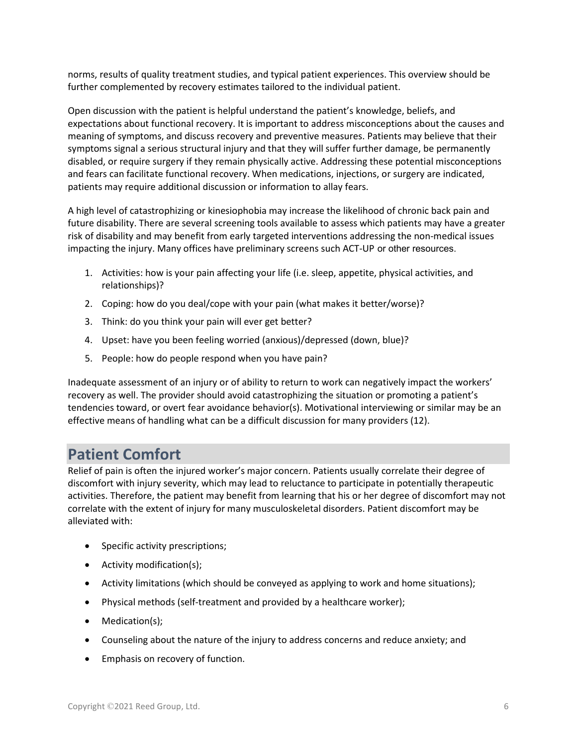norms, results of quality treatment studies, and typical patient experiences. This overview should be further complemented by recovery estimates tailored to the individual patient.

Open discussion with the patient is helpful understand the patient's knowledge, beliefs, and expectations about functional recovery. It is important to address misconceptions about the causes and meaning of symptoms, and discuss recovery and preventive measures. Patients may believe that their symptoms signal a serious structural injury and that they will suffer further damage, be permanently disabled, or require surgery if they remain physically active. Addressing these potential misconceptions and fears can facilitate functional recovery. When medications, injections, or surgery are indicated, patients may require additional discussion or information to allay fears.

A high level of catastrophizing or kinesiophobia may increase the likelihood of chronic back pain and future disability. There are several screening tools available to assess which patients may have a greater risk of disability and may benefit from early targeted interventions addressing the non-medical issues impacting the injury. Many offices have preliminary screens such ACT-UP or other resources.

- 1. Activities: how is your pain affecting your life (i.e. sleep, appetite, physical activities, and relationships)?
- 2. Coping: how do you deal/cope with your pain (what makes it better/worse)?
- 3. Think: do you think your pain will ever get better?
- 4. Upset: have you been feeling worried (anxious)/depressed (down, blue)?
- 5. People: how do people respond when you have pain?

Inadequate assessment of an injury or of ability to return to work can negatively impact the workers' recovery as well. The provider should avoid catastrophizing the situation or promoting a patient's tendencies toward, or overt fear avoidance behavior(s). Motivational interviewing or similar may be an effective means of handling what can be a difficult discussion for many providers (12).

### **Patient Comfort**

Relief of pain is often the injured worker's major concern. Patients usually correlate their degree of discomfort with injury severity, which may lead to reluctance to participate in potentially therapeutic activities. Therefore, the patient may benefit from learning that his or her degree of discomfort may not correlate with the extent of injury for many musculoskeletal disorders. Patient discomfort may be alleviated with:

- Specific activity prescriptions;
- Activity modification(s);
- Activity limitations (which should be conveyed as applying to work and home situations);
- Physical methods (self-treatment and provided by a healthcare worker);
- Medication(s);
- Counseling about the nature of the injury to address concerns and reduce anxiety; and
- Emphasis on recovery of function.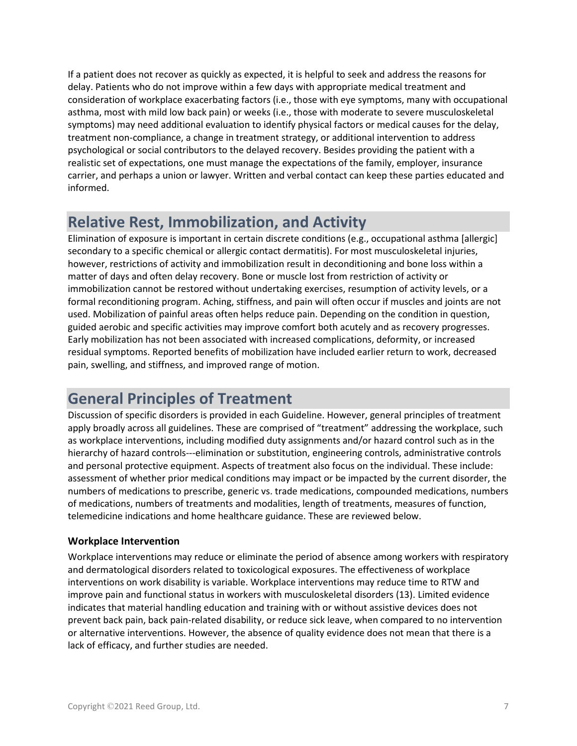If a patient does not recover as quickly as expected, it is helpful to seek and address the reasons for delay. Patients who do not improve within a few days with appropriate medical treatment and consideration of workplace exacerbating factors (i.e., those with eye symptoms, many with occupational asthma, most with mild low back pain) or weeks (i.e., those with moderate to severe musculoskeletal symptoms) may need additional evaluation to identify physical factors or medical causes for the delay, treatment non-compliance, a change in treatment strategy, or additional intervention to address psychological or social contributors to the delayed recovery. Besides providing the patient with a realistic set of expectations, one must manage the expectations of the family, employer, insurance carrier, and perhaps a union or lawyer. Written and verbal contact can keep these parties educated and informed.

### **Relative Rest, Immobilization, and Activity**

Elimination of exposure is important in certain discrete conditions (e.g., occupational asthma [allergic] secondary to a specific chemical or allergic contact dermatitis). For most musculoskeletal injuries, however, restrictions of activity and immobilization result in deconditioning and bone loss within a matter of days and often delay recovery. Bone or muscle lost from restriction of activity or immobilization cannot be restored without undertaking exercises, resumption of activity levels, or a formal reconditioning program. Aching, stiffness, and pain will often occur if muscles and joints are not used. Mobilization of painful areas often helps reduce pain. Depending on the condition in question, guided aerobic and specific activities may improve comfort both acutely and as recovery progresses. Early mobilization has not been associated with increased complications, deformity, or increased residual symptoms. Reported benefits of mobilization have included earlier return to work, decreased pain, swelling, and stiffness, and improved range of motion.

## **General Principles of Treatment**

Discussion of specific disorders is provided in each Guideline. However, general principles of treatment apply broadly across all guidelines. These are comprised of "treatment" addressing the workplace, such as workplace interventions, including modified duty assignments and/or hazard control such as in the hierarchy of hazard controls---elimination or substitution, engineering controls, administrative controls and personal protective equipment. Aspects of treatment also focus on the individual. These include: assessment of whether prior medical conditions may impact or be impacted by the current disorder, the numbers of medications to prescribe, generic vs. trade medications, compounded medications, numbers of medications, numbers of treatments and modalities, length of treatments, measures of function, telemedicine indications and home healthcare guidance. These are reviewed below.

#### **Workplace Intervention**

Workplace interventions may reduce or eliminate the period of absence among workers with respiratory and dermatological disorders related to toxicological exposures. The effectiveness of workplace interventions on work disability is variable. Workplace interventions may reduce time to RTW and improve pain and functional status in workers with musculoskeletal disorders (13). Limited evidence indicates that material handling education and training with or without assistive devices does not prevent back pain, back pain-related disability, or reduce sick leave, when compared to no intervention or alternative interventions. However, the absence of quality evidence does not mean that there is a lack of efficacy, and further studies are needed.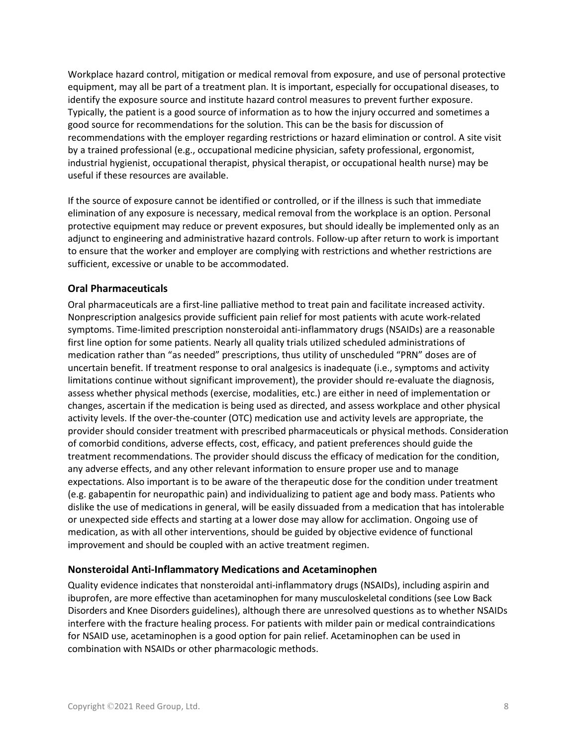Workplace hazard control, mitigation or medical removal from exposure, and use of personal protective equipment, may all be part of a treatment plan. It is important, especially for occupational diseases, to identify the exposure source and institute hazard control measures to prevent further exposure. Typically, the patient is a good source of information as to how the injury occurred and sometimes a good source for recommendations for the solution. This can be the basis for discussion of recommendations with the employer regarding restrictions or hazard elimination or control. A site visit by a trained professional (e.g., occupational medicine physician, safety professional, ergonomist, industrial hygienist, occupational therapist, physical therapist, or occupational health nurse) may be useful if these resources are available.

If the source of exposure cannot be identified or controlled, or if the illness is such that immediate elimination of any exposure is necessary, medical removal from the workplace is an option. Personal protective equipment may reduce or prevent exposures, but should ideally be implemented only as an adjunct to engineering and administrative hazard controls. Follow-up after return to work is important to ensure that the worker and employer are complying with restrictions and whether restrictions are sufficient, excessive or unable to be accommodated.

#### **Oral Pharmaceuticals**

Oral pharmaceuticals are a first-line palliative method to treat pain and facilitate increased activity. Nonprescription analgesics provide sufficient pain relief for most patients with acute work-related symptoms. Time-limited prescription nonsteroidal anti-inflammatory drugs (NSAIDs) are a reasonable first line option for some patients. Nearly all quality trials utilized scheduled administrations of medication rather than "as needed" prescriptions, thus utility of unscheduled "PRN" doses are of uncertain benefit. If treatment response to oral analgesics is inadequate (i.e., symptoms and activity limitations continue without significant improvement), the provider should re-evaluate the diagnosis, assess whether physical methods (exercise, modalities, etc.) are either in need of implementation or changes, ascertain if the medication is being used as directed, and assess workplace and other physical activity levels. If the over-the-counter (OTC) medication use and activity levels are appropriate, the provider should consider treatment with prescribed pharmaceuticals or physical methods. Consideration of comorbid conditions, adverse effects, cost, efficacy, and patient preferences should guide the treatment recommendations. The provider should discuss the efficacy of medication for the condition, any adverse effects, and any other relevant information to ensure proper use and to manage expectations. Also important is to be aware of the therapeutic dose for the condition under treatment (e.g. gabapentin for neuropathic pain) and individualizing to patient age and body mass. Patients who dislike the use of medications in general, will be easily dissuaded from a medication that has intolerable or unexpected side effects and starting at a lower dose may allow for acclimation. Ongoing use of medication, as with all other interventions, should be guided by objective evidence of functional improvement and should be coupled with an active treatment regimen.

#### **Nonsteroidal Anti-Inflammatory Medications and Acetaminophen**

Quality evidence indicates that nonsteroidal anti-inflammatory drugs (NSAIDs), including aspirin and ibuprofen, are more effective than acetaminophen for many musculoskeletal conditions (see Low Back Disorders and Knee Disorders guidelines), although there are unresolved questions as to whether NSAIDs interfere with the fracture healing process. For patients with milder pain or medical contraindications for NSAID use, acetaminophen is a good option for pain relief. Acetaminophen can be used in combination with NSAIDs or other pharmacologic methods.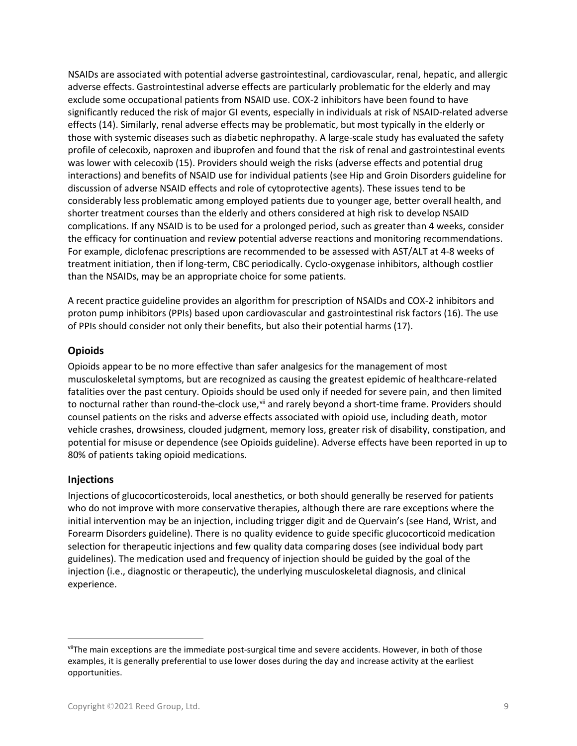NSAIDs are associated with potential adverse gastrointestinal, cardiovascular, renal, hepatic, and allergic adverse effects. Gastrointestinal adverse effects are particularly problematic for the elderly and may exclude some occupational patients from NSAID use. COX-2 inhibitors have been found to have significantly reduced the risk of major GI events, especially in individuals at risk of NSAID-related adverse effects (14). Similarly, renal adverse effects may be problematic, but most typically in the elderly or those with systemic diseases such as diabetic nephropathy. A large-scale study has evaluated the safety profile of celecoxib, naproxen and ibuprofen and found that the risk of renal and gastrointestinal events was lower with celecoxib (15). Providers should weigh the risks (adverse effects and potential drug interactions) and benefits of NSAID use for individual patients (see Hip and Groin Disorders guideline for discussion of adverse NSAID effects and role of cytoprotective agents). These issues tend to be considerably less problematic among employed patients due to younger age, better overall health, and shorter treatment courses than the elderly and others considered at high risk to develop NSAID complications. If any NSAID is to be used for a prolonged period, such as greater than 4 weeks, consider the efficacy for continuation and review potential adverse reactions and monitoring recommendations. For example, diclofenac prescriptions are recommended to be assessed with AST/ALT at 4-8 weeks of treatment initiation, then if long-term, CBC periodically. Cyclo-oxygenase inhibitors, although costlier than the NSAIDs, may be an appropriate choice for some patients.

A recent practice guideline provides an algorithm for prescription of NSAIDs and COX-2 inhibitors and proton pump inhibitors (PPIs) based upon cardiovascular and gastrointestinal risk factors (16). The use of PPIs should consider not only their benefits, but also their potential harms (17).

#### **Opioids**

Opioids appear to be no more effective than safer analgesics for the management of most musculoskeletal symptoms, but are recognized as causing the greatest epidemic of healthcare-related fatalities over the past century. Opioids should be used only if needed for severe pain, and then limited to nocturnal rather than round-the-clock use, [vii](#page-8-0) and rarely beyond a short-time frame. Providers should counsel patients on the risks and adverse effects associated with opioid use, including death, motor vehicle crashes, drowsiness, clouded judgment, memory loss, greater risk of disability, constipation, and potential for misuse or dependence (see Opioids guideline). Adverse effects have been reported in up to 80% of patients taking opioid medications.

#### **Injections**

Injections of glucocorticosteroids, local anesthetics, or both should generally be reserved for patients who do not improve with more conservative therapies, although there are rare exceptions where the initial intervention may be an injection, including trigger digit and de Quervain's (see Hand, Wrist, and Forearm Disorders guideline). There is no quality evidence to guide specific glucocorticoid medication selection for therapeutic injections and few quality data comparing doses (see individual body part guidelines). The medication used and frequency of injection should be guided by the goal of the injection (i.e., diagnostic or therapeutic), the underlying musculoskeletal diagnosis, and clinical experience.

<span id="page-8-0"></span>viiThe main exceptions are the immediate post-surgical time and severe accidents. However, in both of those examples, it is generally preferential to use lower doses during the day and increase activity at the earliest opportunities.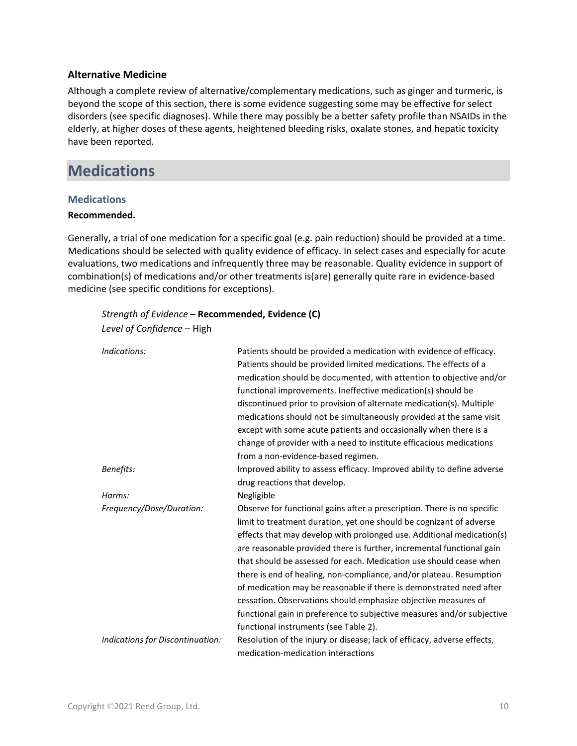#### **Alternative Medicine**

Although a complete review of alternative/complementary medications, such as ginger and turmeric, is beyond the scope of this section, there is some evidence suggesting some may be effective for select disorders (see specific diagnoses). While there may possibly be a better safety profile than NSAIDs in the elderly, at higher doses of these agents, heightened bleeding risks, oxalate stones, and hepatic toxicity have been reported.

### **Medications**

#### **Medications**

#### **Recommended.**

Generally, a trial of one medication for a specific goal (e.g. pain reduction) should be provided at a time. Medications should be selected with quality evidence of efficacy. In select cases and especially for acute evaluations, two medications and infrequently three may be reasonable. Quality evidence in support of combination(s) of medications and/or other treatments is(are) generally quite rare in evidence-based medicine (see specific conditions for exceptions).

| Strength of Evidence - Recommended, Evidence (C) |                                                                                                                                                                                                                                                                                                                                                                                                                                                                                                                                                                                                                                                                                                           |
|--------------------------------------------------|-----------------------------------------------------------------------------------------------------------------------------------------------------------------------------------------------------------------------------------------------------------------------------------------------------------------------------------------------------------------------------------------------------------------------------------------------------------------------------------------------------------------------------------------------------------------------------------------------------------------------------------------------------------------------------------------------------------|
| Level of Confidence - High                       |                                                                                                                                                                                                                                                                                                                                                                                                                                                                                                                                                                                                                                                                                                           |
| Indications:                                     | Patients should be provided a medication with evidence of efficacy.<br>Patients should be provided limited medications. The effects of a<br>medication should be documented, with attention to objective and/or<br>functional improvements. Ineffective medication(s) should be<br>discontinued prior to provision of alternate medication(s). Multiple<br>medications should not be simultaneously provided at the same visit<br>except with some acute patients and occasionally when there is a<br>change of provider with a need to institute efficacious medications<br>from a non-evidence-based regimen.                                                                                           |
| Benefits:                                        | Improved ability to assess efficacy. Improved ability to define adverse<br>drug reactions that develop.                                                                                                                                                                                                                                                                                                                                                                                                                                                                                                                                                                                                   |
| Harms:                                           | Negligible                                                                                                                                                                                                                                                                                                                                                                                                                                                                                                                                                                                                                                                                                                |
| Frequency/Dose/Duration:                         | Observe for functional gains after a prescription. There is no specific<br>limit to treatment duration, yet one should be cognizant of adverse<br>effects that may develop with prolonged use. Additional medication(s)<br>are reasonable provided there is further, incremental functional gain<br>that should be assessed for each. Medication use should cease when<br>there is end of healing, non-compliance, and/or plateau. Resumption<br>of medication may be reasonable if there is demonstrated need after<br>cessation. Observations should emphasize objective measures of<br>functional gain in preference to subjective measures and/or subjective<br>functional instruments (see Table 2). |
| Indications for Discontinuation:                 | Resolution of the injury or disease; lack of efficacy, adverse effects,<br>medication-medication interactions                                                                                                                                                                                                                                                                                                                                                                                                                                                                                                                                                                                             |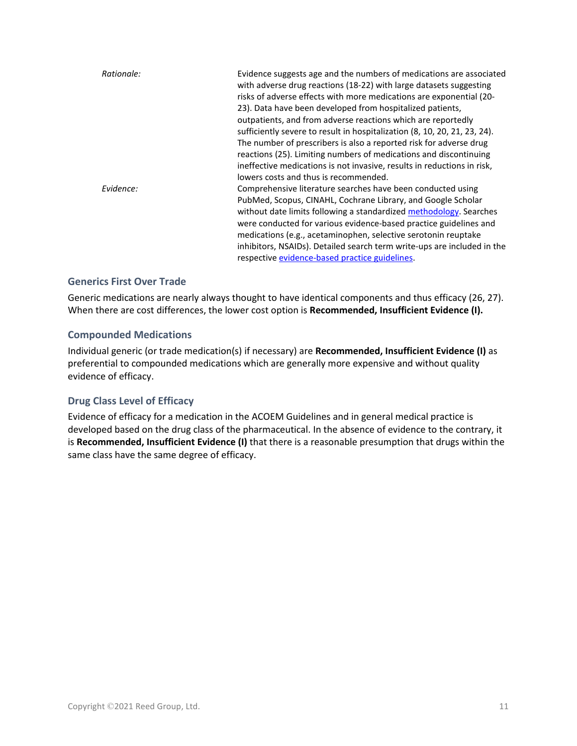| Rationale: | Evidence suggests age and the numbers of medications are associated<br>with adverse drug reactions (18-22) with large datasets suggesting<br>risks of adverse effects with more medications are exponential (20-<br>23). Data have been developed from hospitalized patients,<br>outpatients, and from adverse reactions which are reportedly<br>sufficiently severe to result in hospitalization (8, 10, 20, 21, 23, 24).<br>The number of prescribers is also a reported risk for adverse drug<br>reactions (25). Limiting numbers of medications and discontinuing<br>ineffective medications is not invasive, results in reductions in risk,<br>lowers costs and thus is recommended. |
|------------|-------------------------------------------------------------------------------------------------------------------------------------------------------------------------------------------------------------------------------------------------------------------------------------------------------------------------------------------------------------------------------------------------------------------------------------------------------------------------------------------------------------------------------------------------------------------------------------------------------------------------------------------------------------------------------------------|
| Evidence:  | Comprehensive literature searches have been conducted using<br>PubMed, Scopus, CINAHL, Cochrane Library, and Google Scholar<br>without date limits following a standardized methodology. Searches<br>were conducted for various evidence-based practice guidelines and<br>medications (e.g., acetaminophen, selective serotonin reuptake<br>inhibitors, NSAIDs). Detailed search term write-ups are included in the<br>respective evidence-based practice guidelines.                                                                                                                                                                                                                     |

#### **Generics First Over Trade**

Generic medications are nearly always thought to have identical components and thus efficacy (26, 27). When there are cost differences, the lower cost option is **Recommended, Insufficient Evidence (I).**

#### **Compounded Medications**

Individual generic (or trade medication(s) if necessary) are **Recommended, Insufficient Evidence (I)** as preferential to compounded medications which are generally more expensive and without quality evidence of efficacy.

#### **Drug Class Level of Efficacy**

Evidence of efficacy for a medication in the ACOEM Guidelines and in general medical practice is developed based on the drug class of the pharmaceutical. In the absence of evidence to the contrary, it is **Recommended, Insufficient Evidence (I)** that there is a reasonable presumption that drugs within the same class have the same degree of efficacy.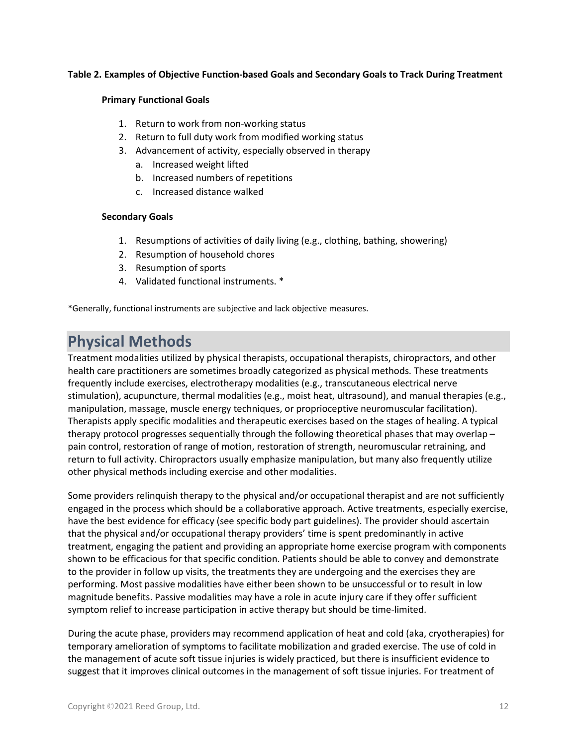#### **Table 2. Examples of Objective Function-based Goals and Secondary Goals to Track During Treatment**

#### **Primary Functional Goals**

- 1. Return to work from non-working status
- 2. Return to full duty work from modified working status
- 3. Advancement of activity, especially observed in therapy
	- a. Increased weight lifted
	- b. Increased numbers of repetitions
	- c. Increased distance walked

#### **Secondary Goals**

- 1. Resumptions of activities of daily living (e.g., clothing, bathing, showering)
- 2. Resumption of household chores
- 3. Resumption of sports
- 4. Validated functional instruments. \*

\*Generally, functional instruments are subjective and lack objective measures.

### **Physical Methods**

Treatment modalities utilized by physical therapists, occupational therapists, chiropractors, and other health care practitioners are sometimes broadly categorized as physical methods. These treatments frequently include exercises, electrotherapy modalities (e.g., transcutaneous electrical nerve stimulation), acupuncture, thermal modalities (e.g., moist heat, ultrasound), and manual therapies (e.g., manipulation, massage, muscle energy techniques, or proprioceptive neuromuscular facilitation). Therapists apply specific modalities and therapeutic exercises based on the stages of healing. A typical therapy protocol progresses sequentially through the following theoretical phases that may overlap – pain control, restoration of range of motion, restoration of strength, neuromuscular retraining, and return to full activity. Chiropractors usually emphasize manipulation, but many also frequently utilize other physical methods including exercise and other modalities.

Some providers relinquish therapy to the physical and/or occupational therapist and are not sufficiently engaged in the process which should be a collaborative approach. Active treatments, especially exercise, have the best evidence for efficacy (see specific body part guidelines). The provider should ascertain that the physical and/or occupational therapy providers' time is spent predominantly in active treatment, engaging the patient and providing an appropriate home exercise program with components shown to be efficacious for that specific condition. Patients should be able to convey and demonstrate to the provider in follow up visits, the treatments they are undergoing and the exercises they are performing. Most passive modalities have either been shown to be unsuccessful or to result in low magnitude benefits. Passive modalities may have a role in acute injury care if they offer sufficient symptom relief to increase participation in active therapy but should be time-limited.

During the acute phase, providers may recommend application of heat and cold (aka, cryotherapies) for temporary amelioration of symptoms to facilitate mobilization and graded exercise. The use of cold in the management of acute soft tissue injuries is widely practiced, but there is insufficient evidence to suggest that it improves clinical outcomes in the management of soft tissue injuries. For treatment of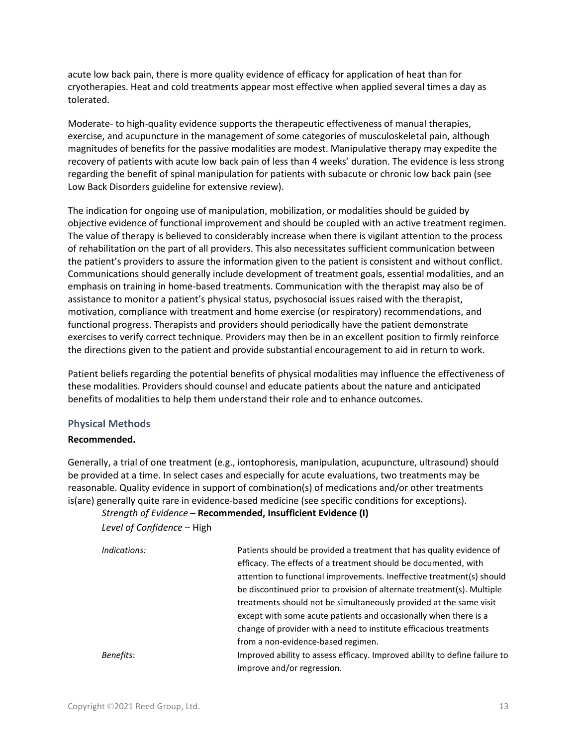acute low back pain, there is more quality evidence of efficacy for application of heat than for cryotherapies. Heat and cold treatments appear most effective when applied several times a day as tolerated.

Moderate- to high-quality evidence supports the therapeutic effectiveness of manual therapies, exercise, and acupuncture in the management of some categories of musculoskeletal pain, although magnitudes of benefits for the passive modalities are modest. Manipulative therapy may expedite the recovery of patients with acute low back pain of less than 4 weeks' duration. The evidence is less strong regarding the benefit of spinal manipulation for patients with subacute or chronic low back pain (see Low Back Disorders guideline for extensive review).

The indication for ongoing use of manipulation, mobilization, or modalities should be guided by objective evidence of functional improvement and should be coupled with an active treatment regimen. The value of therapy is believed to considerably increase when there is vigilant attention to the process of rehabilitation on the part of all providers. This also necessitates sufficient communication between the patient's providers to assure the information given to the patient is consistent and without conflict. Communications should generally include development of treatment goals, essential modalities, and an emphasis on training in home-based treatments. Communication with the therapist may also be of assistance to monitor a patient's physical status, psychosocial issues raised with the therapist, motivation, compliance with treatment and home exercise (or respiratory) recommendations, and functional progress. Therapists and providers should periodically have the patient demonstrate exercises to verify correct technique. Providers may then be in an excellent position to firmly reinforce the directions given to the patient and provide substantial encouragement to aid in return to work.

Patient beliefs regarding the potential benefits of physical modalities may influence the effectiveness of these modalities. Providers should counsel and educate patients about the nature and anticipated benefits of modalities to help them understand their role and to enhance outcomes.

#### **Physical Methods**

#### **Recommended.**

Generally, a trial of one treatment (e.g., iontophoresis, manipulation, acupuncture, ultrasound) should be provided at a time. In select cases and especially for acute evaluations, two treatments may be reasonable. Quality evidence in support of combination(s) of medications and/or other treatments is(are) generally quite rare in evidence-based medicine (see specific conditions for exceptions).

#### *Strength of Evidence* – **Recommended, Insufficient Evidence (I)**

#### *Level of Confidence* – High

| Indications: | Patients should be provided a treatment that has quality evidence of<br>efficacy. The effects of a treatment should be documented, with |
|--------------|-----------------------------------------------------------------------------------------------------------------------------------------|
|              | attention to functional improvements. Ineffective treatment(s) should                                                                   |
|              | be discontinued prior to provision of alternate treatment(s). Multiple                                                                  |
|              | treatments should not be simultaneously provided at the same visit                                                                      |
|              | except with some acute patients and occasionally when there is a                                                                        |
|              | change of provider with a need to institute efficacious treatments                                                                      |
|              | from a non-evidence-based regimen.                                                                                                      |
| Benefits:    | Improved ability to assess efficacy. Improved ability to define failure to                                                              |
|              | improve and/or regression.                                                                                                              |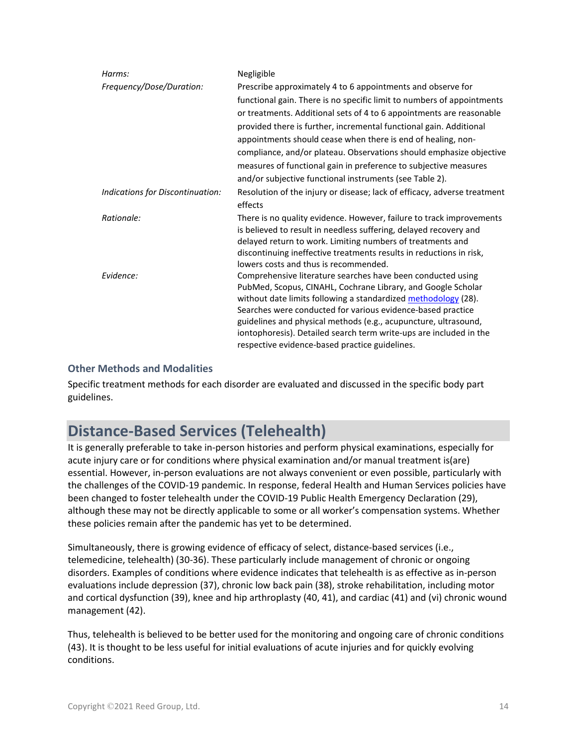| Harms:                           | Negligible                                                               |
|----------------------------------|--------------------------------------------------------------------------|
| Frequency/Dose/Duration:         | Prescribe approximately 4 to 6 appointments and observe for              |
|                                  | functional gain. There is no specific limit to numbers of appointments   |
|                                  | or treatments. Additional sets of 4 to 6 appointments are reasonable     |
|                                  | provided there is further, incremental functional gain. Additional       |
|                                  | appointments should cease when there is end of healing, non-             |
|                                  | compliance, and/or plateau. Observations should emphasize objective      |
|                                  | measures of functional gain in preference to subjective measures         |
|                                  | and/or subjective functional instruments (see Table 2).                  |
| Indications for Discontinuation: | Resolution of the injury or disease; lack of efficacy, adverse treatment |
|                                  | effects                                                                  |
| Rationale:                       | There is no quality evidence. However, failure to track improvements     |
|                                  | is believed to result in needless suffering, delayed recovery and        |
|                                  | delayed return to work. Limiting numbers of treatments and               |
|                                  | discontinuing ineffective treatments results in reductions in risk,      |
|                                  | lowers costs and thus is recommended.                                    |
| Evidence:                        | Comprehensive literature searches have been conducted using              |
|                                  | PubMed, Scopus, CINAHL, Cochrane Library, and Google Scholar             |
|                                  | without date limits following a standardized methodology (28).           |
|                                  | Searches were conducted for various evidence-based practice              |
|                                  | guidelines and physical methods (e.g., acupuncture, ultrasound,          |
|                                  | iontophoresis). Detailed search term write-ups are included in the       |
|                                  | respective evidence-based practice guidelines.                           |

#### **Other Methods and Modalities**

Specific treatment methods for each disorder are evaluated and discussed in the specific body part guidelines.

## **Distance-Based Services (Telehealth)**

It is generally preferable to take in-person histories and perform physical examinations, especially for acute injury care or for conditions where physical examination and/or manual treatment is(are) essential. However, in-person evaluations are not always convenient or even possible, particularly with the challenges of the COVID-19 pandemic. In response, federal Health and Human Services policies have been changed to foster telehealth under the COVID-19 Public Health Emergency Declaration (29), although these may not be directly applicable to some or all worker's compensation systems. Whether these policies remain after the pandemic has yet to be determined.

Simultaneously, there is growing evidence of efficacy of select, distance-based services (i.e., telemedicine, telehealth) (30-36). These particularly include management of chronic or ongoing disorders. Examples of conditions where evidence indicates that telehealth is as effective as in-person evaluations include depression (37), chronic low back pain (38), stroke rehabilitation, including motor and cortical dysfunction (39), knee and hip arthroplasty (40, 41), and cardiac (41) and (vi) chronic wound management (42).

Thus, telehealth is believed to be better used for the monitoring and ongoing care of chronic conditions (43). It is thought to be less useful for initial evaluations of acute injuries and for quickly evolving conditions.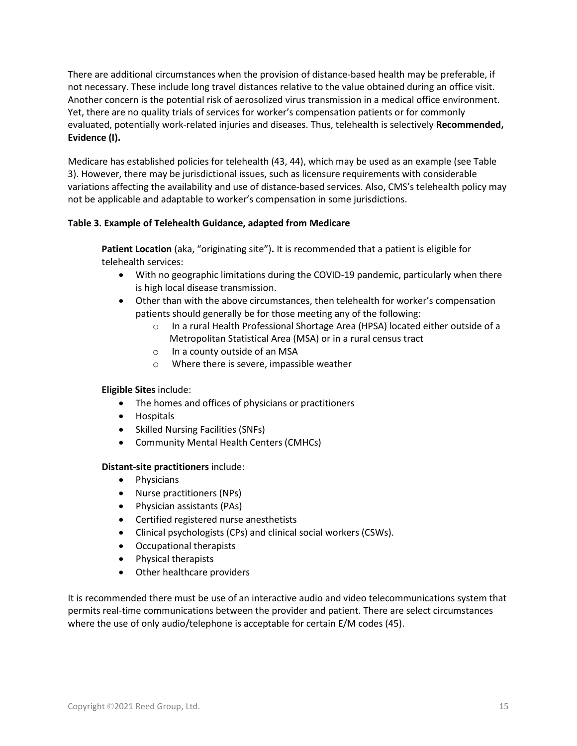There are additional circumstances when the provision of distance-based health may be preferable, if not necessary. These include long travel distances relative to the value obtained during an office visit. Another concern is the potential risk of aerosolized virus transmission in a medical office environment. Yet, there are no quality trials of services for worker's compensation patients or for commonly evaluated, potentially work-related injuries and diseases. Thus, telehealth is selectively **Recommended, Evidence (I).**

Medicare has established policies for telehealth (43, 44), which may be used as an example (see Table 3). However, there may be jurisdictional issues, such as licensure requirements with considerable variations affecting the availability and use of distance-based services. Also, CMS's telehealth policy may not be applicable and adaptable to worker's compensation in some jurisdictions.

#### **Table 3. Example of Telehealth Guidance, adapted from Medicare**

**Patient Location** (aka, "originating site")**.** It is recommended that a patient is eligible for telehealth services:

- With no geographic limitations during the COVID-19 pandemic, particularly when there is high local disease transmission.
- Other than with the above circumstances, then telehealth for worker's compensation patients should generally be for those meeting any of the following:
	- In a rural Health Professional Shortage Area (HPSA) located either outside of a Metropolitan Statistical Area (MSA) or in a rural census tract
	- o In a county outside of an MSA
	- o Where there is severe, impassible weather

#### **Eligible Sites** include:

- The homes and offices of physicians or practitioners
- Hospitals
- Skilled Nursing Facilities (SNFs)
- Community Mental Health Centers (CMHCs)

#### **Distant-site practitioners** include:

- Physicians
- Nurse practitioners (NPs)
- Physician assistants (PAs)
- Certified registered nurse anesthetists
- Clinical psychologists (CPs) and clinical social workers (CSWs).
- Occupational therapists
- Physical therapists
- Other healthcare providers

It is recommended there must be use of an interactive audio and video telecommunications system that permits real-time communications between the provider and patient. There are select circumstances where the use of only audio/telephone is acceptable for certain E/M codes (45).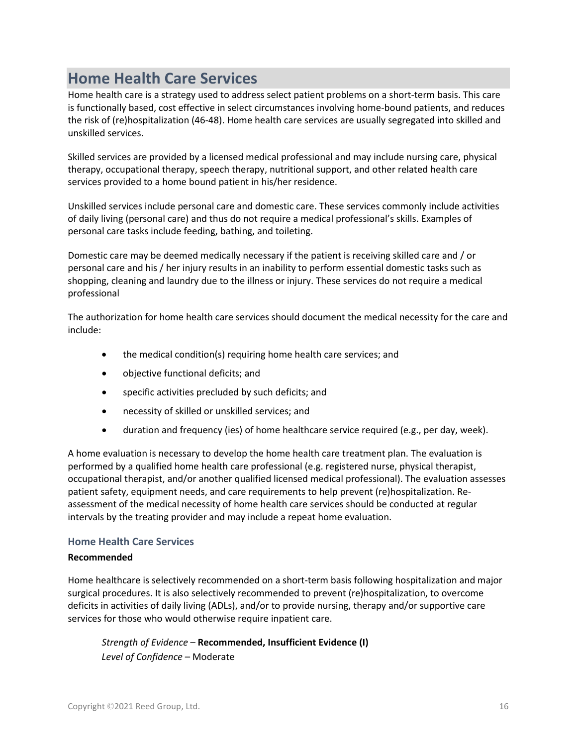### **Home Health Care Services**

Home health care is a strategy used to address select patient problems on a short-term basis. This care is functionally based, cost effective in select circumstances involving home-bound patients, and reduces the risk of (re)hospitalization (46-48). Home health care services are usually segregated into skilled and unskilled services.

Skilled services are provided by a licensed medical professional and may include nursing care, physical therapy, occupational therapy, speech therapy, nutritional support, and other related health care services provided to a home bound patient in his/her residence.

Unskilled services include personal care and domestic care. These services commonly include activities of daily living (personal care) and thus do not require a medical professional's skills. Examples of personal care tasks include feeding, bathing, and toileting.

Domestic care may be deemed medically necessary if the patient is receiving skilled care and / or personal care and his / her injury results in an inability to perform essential domestic tasks such as shopping, cleaning and laundry due to the illness or injury. These services do not require a medical professional

The authorization for home health care services should document the medical necessity for the care and include:

- the medical condition(s) requiring home health care services; and
- objective functional deficits; and
- specific activities precluded by such deficits; and
- necessity of skilled or unskilled services; and
- duration and frequency (ies) of home healthcare service required (e.g., per day, week).

A home evaluation is necessary to develop the home health care treatment plan. The evaluation is performed by a qualified home health care professional (e.g. registered nurse, physical therapist, occupational therapist, and/or another qualified licensed medical professional). The evaluation assesses patient safety, equipment needs, and care requirements to help prevent (re)hospitalization. Reassessment of the medical necessity of home health care services should be conducted at regular intervals by the treating provider and may include a repeat home evaluation.

#### **Home Health Care Services**

#### **Recommended**

Home healthcare is selectively recommended on a short-term basis following hospitalization and major surgical procedures. It is also selectively recommended to prevent (re)hospitalization, to overcome deficits in activities of daily living (ADLs), and/or to provide nursing, therapy and/or supportive care services for those who would otherwise require inpatient care.

*Strength of Evidence* – **Recommended, Insufficient Evidence (I)** *Level of Confidence* – Moderate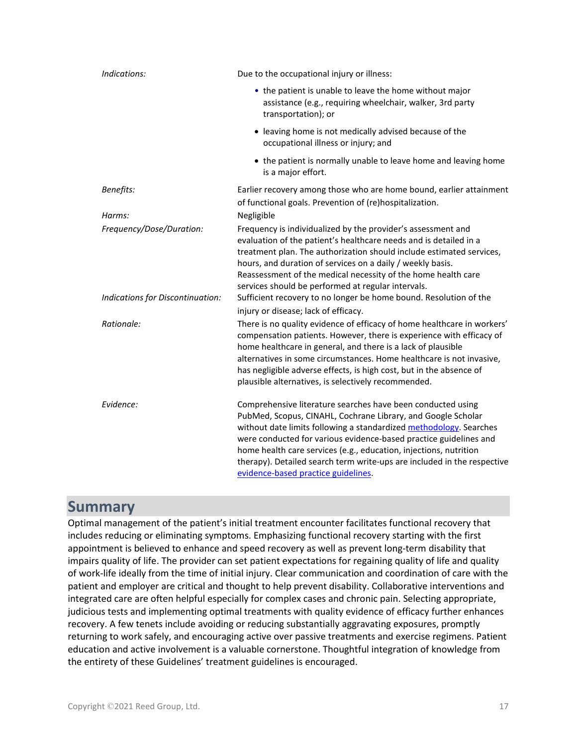| Indications:                       | Due to the occupational injury or illness:                                                                                                                                                                                                                                                                                                                                                                                                                    |
|------------------------------------|---------------------------------------------------------------------------------------------------------------------------------------------------------------------------------------------------------------------------------------------------------------------------------------------------------------------------------------------------------------------------------------------------------------------------------------------------------------|
|                                    | • the patient is unable to leave the home without major<br>assistance (e.g., requiring wheelchair, walker, 3rd party<br>transportation); or                                                                                                                                                                                                                                                                                                                   |
|                                    | • leaving home is not medically advised because of the<br>occupational illness or injury; and                                                                                                                                                                                                                                                                                                                                                                 |
|                                    | • the patient is normally unable to leave home and leaving home<br>is a major effort.                                                                                                                                                                                                                                                                                                                                                                         |
| Benefits:                          | Earlier recovery among those who are home bound, earlier attainment<br>of functional goals. Prevention of (re)hospitalization.                                                                                                                                                                                                                                                                                                                                |
| Harms:<br>Frequency/Dose/Duration: | Negligible<br>Frequency is individualized by the provider's assessment and<br>evaluation of the patient's healthcare needs and is detailed in a<br>treatment plan. The authorization should include estimated services,<br>hours, and duration of services on a daily / weekly basis.<br>Reassessment of the medical necessity of the home health care<br>services should be performed at regular intervals.                                                  |
| Indications for Discontinuation:   | Sufficient recovery to no longer be home bound. Resolution of the<br>injury or disease; lack of efficacy.                                                                                                                                                                                                                                                                                                                                                     |
| Rationale:                         | There is no quality evidence of efficacy of home healthcare in workers'<br>compensation patients. However, there is experience with efficacy of<br>home healthcare in general, and there is a lack of plausible<br>alternatives in some circumstances. Home healthcare is not invasive,<br>has negligible adverse effects, is high cost, but in the absence of<br>plausible alternatives, is selectively recommended.                                         |
| Evidence:                          | Comprehensive literature searches have been conducted using<br>PubMed, Scopus, CINAHL, Cochrane Library, and Google Scholar<br>without date limits following a standardized methodology. Searches<br>were conducted for various evidence-based practice guidelines and<br>home health care services (e.g., education, injections, nutrition<br>therapy). Detailed search term write-ups are included in the respective<br>evidence-based practice guidelines. |

### **Summary**

Optimal management of the patient's initial treatment encounter facilitates functional recovery that includes reducing or eliminating symptoms. Emphasizing functional recovery starting with the first appointment is believed to enhance and speed recovery as well as prevent long-term disability that impairs quality of life. The provider can set patient expectations for regaining quality of life and quality of work-life ideally from the time of initial injury. Clear communication and coordination of care with the patient and employer are critical and thought to help prevent disability. Collaborative interventions and integrated care are often helpful especially for complex cases and chronic pain. Selecting appropriate, judicious tests and implementing optimal treatments with quality evidence of efficacy further enhances recovery. A few tenets include avoiding or reducing substantially aggravating exposures, promptly returning to work safely, and encouraging active over passive treatments and exercise regimens. Patient education and active involvement is a valuable cornerstone. Thoughtful integration of knowledge from the entirety of these Guidelines' treatment guidelines is encouraged.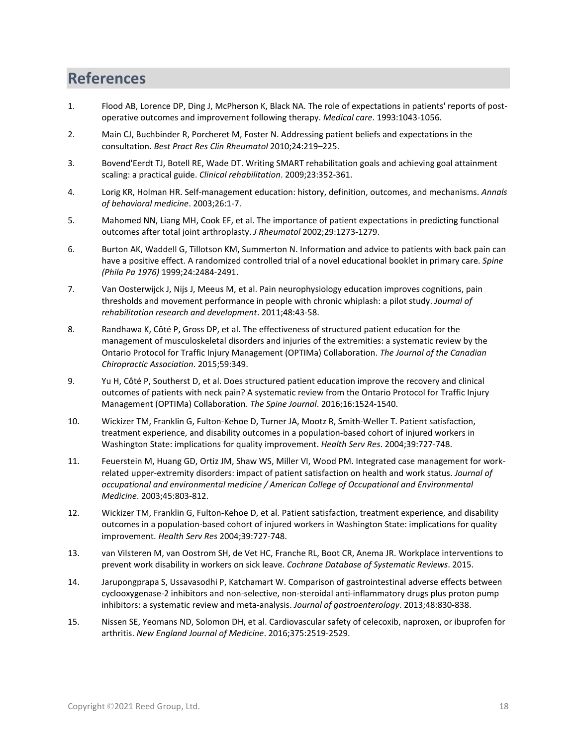# **References**

- 1. Flood AB, Lorence DP, Ding J, McPherson K, Black NA. The role of expectations in patients' reports of postoperative outcomes and improvement following therapy. *Medical care*. 1993:1043-1056.
- 2. Main CJ, Buchbinder R, Porcheret M, Foster N. Addressing patient beliefs and expectations in the consultation. *Best Pract Res Clin Rheumatol* 2010;24:219–225.
- 3. Bovend'Eerdt TJ, Botell RE, Wade DT. Writing SMART rehabilitation goals and achieving goal attainment scaling: a practical guide. *Clinical rehabilitation*. 2009;23:352-361.
- 4. Lorig KR, Holman HR. Self-management education: history, definition, outcomes, and mechanisms. *Annals of behavioral medicine*. 2003;26:1-7.
- 5. Mahomed NN, Liang MH, Cook EF, et al. The importance of patient expectations in predicting functional outcomes after total joint arthroplasty. *J Rheumatol* 2002;29:1273-1279.
- 6. Burton AK, Waddell G, Tillotson KM, Summerton N. Information and advice to patients with back pain can have a positive effect. A randomized controlled trial of a novel educational booklet in primary care. *Spine (Phila Pa 1976)* 1999;24:2484-2491.
- 7. Van Oosterwijck J, Nijs J, Meeus M, et al. Pain neurophysiology education improves cognitions, pain thresholds and movement performance in people with chronic whiplash: a pilot study. *Journal of rehabilitation research and development*. 2011;48:43-58.
- 8. Randhawa K, Côté P, Gross DP, et al. The effectiveness of structured patient education for the management of musculoskeletal disorders and injuries of the extremities: a systematic review by the Ontario Protocol for Traffic Injury Management (OPTIMa) Collaboration. *The Journal of the Canadian Chiropractic Association*. 2015;59:349.
- 9. Yu H, Côté P, Southerst D, et al. Does structured patient education improve the recovery and clinical outcomes of patients with neck pain? A systematic review from the Ontario Protocol for Traffic Injury Management (OPTIMa) Collaboration. *The Spine Journal*. 2016;16:1524-1540.
- 10. Wickizer TM, Franklin G, Fulton-Kehoe D, Turner JA, Mootz R, Smith-Weller T. Patient satisfaction, treatment experience, and disability outcomes in a population-based cohort of injured workers in Washington State: implications for quality improvement. *Health Serv Res*. 2004;39:727-748.
- 11. Feuerstein M, Huang GD, Ortiz JM, Shaw WS, Miller VI, Wood PM. Integrated case management for workrelated upper-extremity disorders: impact of patient satisfaction on health and work status. *Journal of occupational and environmental medicine / American College of Occupational and Environmental Medicine*. 2003;45:803-812.
- 12. Wickizer TM, Franklin G, Fulton-Kehoe D, et al. Patient satisfaction, treatment experience, and disability outcomes in a population-based cohort of injured workers in Washington State: implications for quality improvement. *Health Serv Res* 2004;39:727-748.
- 13. van Vilsteren M, van Oostrom SH, de Vet HC, Franche RL, Boot CR, Anema JR. Workplace interventions to prevent work disability in workers on sick leave. *Cochrane Database of Systematic Reviews*. 2015.
- 14. Jarupongprapa S, Ussavasodhi P, Katchamart W. Comparison of gastrointestinal adverse effects between cyclooxygenase-2 inhibitors and non-selective, non-steroidal anti-inflammatory drugs plus proton pump inhibitors: a systematic review and meta-analysis. *Journal of gastroenterology*. 2013;48:830-838.
- 15. Nissen SE, Yeomans ND, Solomon DH, et al. Cardiovascular safety of celecoxib, naproxen, or ibuprofen for arthritis. *New England Journal of Medicine*. 2016;375:2519-2529.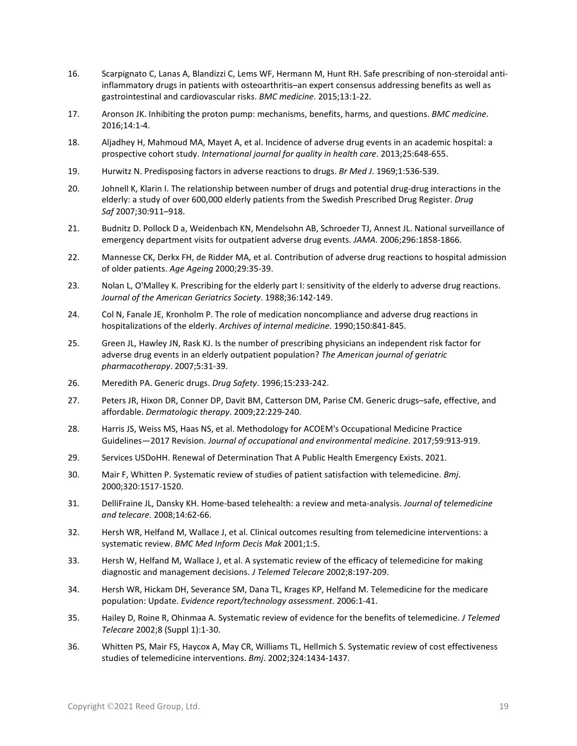- 16. Scarpignato C, Lanas A, Blandizzi C, Lems WF, Hermann M, Hunt RH. Safe prescribing of non-steroidal antiinflammatory drugs in patients with osteoarthritis–an expert consensus addressing benefits as well as gastrointestinal and cardiovascular risks. *BMC medicine*. 2015;13:1-22.
- 17. Aronson JK. Inhibiting the proton pump: mechanisms, benefits, harms, and questions. *BMC medicine*. 2016;14:1-4.
- 18. Aljadhey H, Mahmoud MA, Mayet A, et al. Incidence of adverse drug events in an academic hospital: a prospective cohort study. *International journal for quality in health care*. 2013;25:648-655.
- 19. Hurwitz N. Predisposing factors in adverse reactions to drugs. *Br Med J*. 1969;1:536-539.
- 20. Johnell K, Klarin I. The relationship between number of drugs and potential drug-drug interactions in the elderly: a study of over 600,000 elderly patients from the Swedish Prescribed Drug Register. *Drug Saf* 2007;30:911–918.
- 21. Budnitz D. Pollock D a, Weidenbach KN, Mendelsohn AB, Schroeder TJ, Annest JL. National surveillance of emergency department visits for outpatient adverse drug events. *JAMA*. 2006;296:1858-1866.
- 22. Mannesse CK, Derkx FH, de Ridder MA, et al. Contribution of adverse drug reactions to hospital admission of older patients. *Age Ageing* 2000;29:35-39.
- 23. Nolan L, O'Malley K. Prescribing for the elderly part I: sensitivity of the elderly to adverse drug reactions. *Journal of the American Geriatrics Society*. 1988;36:142-149.
- 24. Col N, Fanale JE, Kronholm P. The role of medication noncompliance and adverse drug reactions in hospitalizations of the elderly. *Archives of internal medicine*. 1990;150:841-845.
- 25. Green JL, Hawley JN, Rask KJ. Is the number of prescribing physicians an independent risk factor for adverse drug events in an elderly outpatient population? *The American journal of geriatric pharmacotherapy*. 2007;5:31-39.
- 26. Meredith PA. Generic drugs. *Drug Safety*. 1996;15:233-242.
- 27. Peters JR, Hixon DR, Conner DP, Davit BM, Catterson DM, Parise CM. Generic drugs–safe, effective, and affordable. *Dermatologic therapy*. 2009;22:229-240.
- 28. Harris JS, Weiss MS, Haas NS, et al. Methodology for ACOEM's Occupational Medicine Practice Guidelines—2017 Revision. *Journal of occupational and environmental medicine*. 2017;59:913-919.
- 29. Services USDoHH. Renewal of Determination That A Public Health Emergency Exists. 2021.
- 30. Mair F, Whitten P. Systematic review of studies of patient satisfaction with telemedicine. *Bmj*. 2000;320:1517-1520.
- 31. DelliFraine JL, Dansky KH. Home-based telehealth: a review and meta-analysis. *Journal of telemedicine and telecare*. 2008;14:62-66.
- 32. Hersh WR, Helfand M, Wallace J, et al. Clinical outcomes resulting from telemedicine interventions: a systematic review. *BMC Med Inform Decis Mak* 2001;1:5.
- 33. Hersh W, Helfand M, Wallace J, et al. A systematic review of the efficacy of telemedicine for making diagnostic and management decisions. *J Telemed Telecare* 2002;8:197-209.
- 34. Hersh WR, Hickam DH, Severance SM, Dana TL, Krages KP, Helfand M. Telemedicine for the medicare population: Update. *Evidence report/technology assessment*. 2006:1-41.
- 35. Hailey D, Roine R, Ohinmaa A. Systematic review of evidence for the benefits of telemedicine. *J Telemed Telecare* 2002;8 (Suppl 1):1-30.
- 36. Whitten PS, Mair FS, Haycox A, May CR, Williams TL, Hellmich S. Systematic review of cost effectiveness studies of telemedicine interventions. *Bmj*. 2002;324:1434-1437.